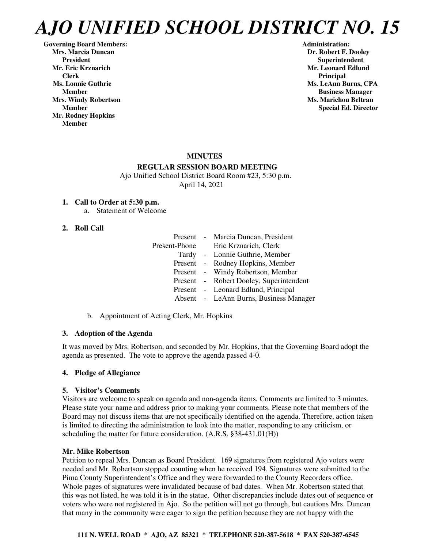**Governing Board Members: Administration: Mrs. Marcia Duncan Dr. Robert F. Dooley** President **Resident Superintendent** Superintendent<br>Mr. Eric Krznarich Superintendent Mr. Leonard Edlun  **Clerk** Principal **Principal Ms. Lonnie Guthrie Ms. LeAnn Burns, CPA Ms. LeAnn Burns, CPA Mrs. Windy Robertson Ms. Marichou Beltran**  Ms. Marichou Beltran **Ms. Marichou Beltran Mr. Rodney Hopkins Member** 

**Mr. Leonard Edlund Member Business Manager Member** Special Ed. Director **Special Ed. Director** 

## **MINUTES**

#### **REGULAR SESSION BOARD MEETING**

 Ajo Unified School District Board Room #23, 5:30 p.m. April 14, 2021

## **1. Call to Order at 5:30 p.m.**

a. Statement of Welcome

#### **2. Roll Call**

|  | Present - Marcia Duncan, President      |
|--|-----------------------------------------|
|  | Present-Phone Eric Krznarich, Clerk     |
|  | Tardy - Lonnie Guthrie, Member          |
|  | Present - Rodney Hopkins, Member        |
|  | Present - Windy Robertson, Member       |
|  | Present - Robert Dooley, Superintendent |
|  | Present - Leonard Edlund, Principal     |
|  | Absent - LeAnn Burns, Business Manager  |

b. Appointment of Acting Clerk, Mr. Hopkins

#### **3. Adoption of the Agenda**

It was moved by Mrs. Robertson, and seconded by Mr. Hopkins, that the Governing Board adopt the agenda as presented. The vote to approve the agenda passed 4-0.

#### **4. Pledge of Allegiance**

#### **5. Visitor's Comments**

Visitors are welcome to speak on agenda and non-agenda items. Comments are limited to 3 minutes. Please state your name and address prior to making your comments. Please note that members of the Board may not discuss items that are not specifically identified on the agenda. Therefore, action taken is limited to directing the administration to look into the matter, responding to any criticism, or scheduling the matter for future consideration. (A.R.S. §38-431.01(H))

#### **Mr. Mike Robertson**

Petition to repeal Mrs. Duncan as Board President. 169 signatures from registered Ajo voters were needed and Mr. Robertson stopped counting when he received 194. Signatures were submitted to the Pima County Superintendent's Office and they were forwarded to the County Recorders office. Whole pages of signatures were invalidated because of bad dates. When Mr. Robertson stated that this was not listed, he was told it is in the statue. Other discrepancies include dates out of sequence or voters who were not registered in Ajo. So the petition will not go through, but cautions Mrs. Duncan that many in the community were eager to sign the petition because they are not happy with the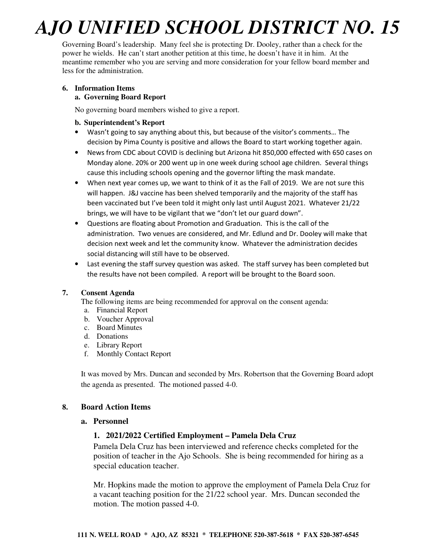Governing Board's leadership. Many feel she is protecting Dr. Dooley, rather than a check for the power he wields. He can't start another petition at this time, he doesn't have it in him. At the meantime remember who you are serving and more consideration for your fellow board member and less for the administration.

# **6. Information Items**

## **a. Governing Board Report**

No governing board members wished to give a report.

#### **b. Superintendent's Report**

- Wasn't going to say anything about this, but because of the visitor's comments… The decision by Pima County is positive and allows the Board to start working together again.
- News from CDC about COVID is declining but Arizona hit 850,000 effected with 650 cases on Monday alone. 20% or 200 went up in one week during school age children. Several things cause this including schools opening and the governor lifting the mask mandate.
- When next year comes up, we want to think of it as the Fall of 2019. We are not sure this will happen. J&J vaccine has been shelved temporarily and the majority of the staff has been vaccinated but I've been told it might only last until August 2021. Whatever 21/22 brings, we will have to be vigilant that we "don't let our guard down".
- Questions are floating about Promotion and Graduation. This is the call of the administration. Two venues are considered, and Mr. Edlund and Dr. Dooley will make that decision next week and let the community know. Whatever the administration decides social distancing will still have to be observed.
- Last evening the staff survey question was asked. The staff survey has been completed but the results have not been compiled. A report will be brought to the Board soon.

## **7. Consent Agenda**

The following items are being recommended for approval on the consent agenda:

- a. Financial Report
- b. Voucher Approval
- c. Board Minutes
- d. Donations
- e. Library Report
- f. Monthly Contact Report

It was moved by Mrs. Duncan and seconded by Mrs. Robertson that the Governing Board adopt the agenda as presented. The motioned passed 4-0.

## **8. Board Action Items**

## **a. Personnel**

## **1. 2021/2022 Certified Employment – Pamela Dela Cruz**

Pamela Dela Cruz has been interviewed and reference checks completed for the position of teacher in the Ajo Schools. She is being recommended for hiring as a special education teacher.

Mr. Hopkins made the motion to approve the employment of Pamela Dela Cruz for a vacant teaching position for the 21/22 school year. Mrs. Duncan seconded the motion. The motion passed 4-0.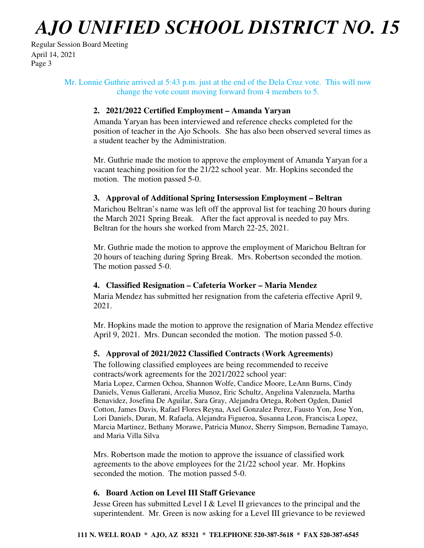Regular Session Board Meeting April 14, 2021 Page 3

## Mr. Lonnie Guthrie arrived at 5:43 p.m. just at the end of the Dela Cruz vote. This will now change the vote count moving forward from 4 members to 5.

## **2. 2021/2022 Certified Employment – Amanda Yaryan**

Amanda Yaryan has been interviewed and reference checks completed for the position of teacher in the Ajo Schools. She has also been observed several times as a student teacher by the Administration.

Mr. Guthrie made the motion to approve the employment of Amanda Yaryan for a vacant teaching position for the 21/22 school year. Mr. Hopkins seconded the motion. The motion passed 5-0.

## **3. Approval of Additional Spring Intersession Employment – Beltran**

Marichou Beltran's name was left off the approval list for teaching 20 hours during the March 2021 Spring Break. After the fact approval is needed to pay Mrs. Beltran for the hours she worked from March 22-25, 2021.

Mr. Guthrie made the motion to approve the employment of Marichou Beltran for 20 hours of teaching during Spring Break. Mrs. Robertson seconded the motion. The motion passed 5-0.

## **4. Classified Resignation – Cafeteria Worker – Maria Mendez**

Maria Mendez has submitted her resignation from the cafeteria effective April 9, 2021.

Mr. Hopkins made the motion to approve the resignation of Maria Mendez effective April 9, 2021. Mrs. Duncan seconded the motion. The motion passed 5-0.

## **5. Approval of 2021/2022 Classified Contracts (Work Agreements)**

The following classified employees are being recommended to receive contracts/work agreements for the 2021/2022 school year: Maria Lopez, Carmen Ochoa, Shannon Wolfe, Candice Moore, LeAnn Burns, Cindy Daniels, Venus Gallerani, Arcelia Munoz, Eric Schultz, Angelina Valenzuela, Martha Benavidez, Josefina De Aguilar, Sara Gray, Alejandra Ortega, Robert Ogden, Daniel Cotton, James Davis, Rafael Flores Reyna, Axel Gonzalez Perez, Fausto Yon, Jose Yon, Lori Daniels, Duran, M. Rafaela, Alejandra Figueroa, Susanna Leon, Francisca Lopez, Marcia Martinez, Bethany Morawe, Patricia Munoz, Sherry Simpson, Bernadine Tamayo, and Maria Villa Silva

Mrs. Robertson made the motion to approve the issuance of classified work agreements to the above employees for the 21/22 school year. Mr. Hopkins seconded the motion. The motion passed 5-0.

## **6. Board Action on Level III Staff Grievance**

Jesse Green has submitted Level I & Level II grievances to the principal and the superintendent. Mr. Green is now asking for a Level III grievance to be reviewed